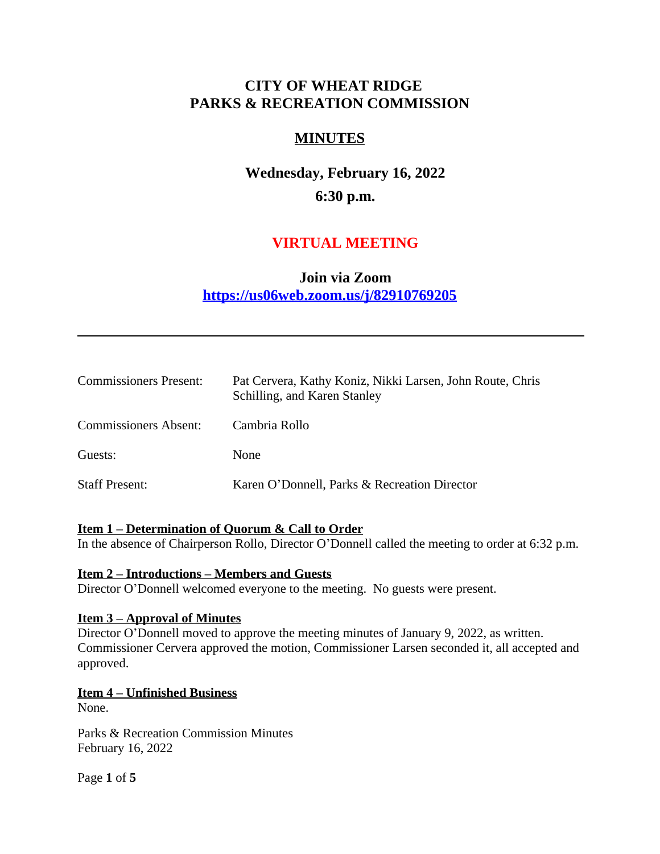# **CITY OF WHEAT RIDGE PARKS & RECREATION COMMISSION**

# **MINUTES**

# **Wednesday, February 16, 2022 6:30 p.m.**

# **VIRTUAL MEETING**

# **Join via Zoom <https://us06web.zoom.us/j/82910769205>**

| <b>Commissioners Present:</b> | Pat Cervera, Kathy Koniz, Nikki Larsen, John Route, Chris<br>Schilling, and Karen Stanley |
|-------------------------------|-------------------------------------------------------------------------------------------|
| <b>Commissioners Absent:</b>  | Cambria Rollo                                                                             |
| Guests:                       | None                                                                                      |
| <b>Staff Present:</b>         | Karen O'Donnell, Parks & Recreation Director                                              |

#### **Item 1 – Determination of Quorum & Call to Order**

In the absence of Chairperson Rollo, Director O'Donnell called the meeting to order at 6:32 p.m.

#### **Item 2 – Introductions – Members and Guests**

Director O'Donnell welcomed everyone to the meeting. No guests were present.

#### **Item 3 – Approval of Minutes**

Director O'Donnell moved to approve the meeting minutes of January 9, 2022, as written. Commissioner Cervera approved the motion, Commissioner Larsen seconded it, all accepted and approved.

#### **Item 4 – Unfinished Business**

None.

Parks & Recreation Commission Minutes February 16, 2022

Page **1** of **5**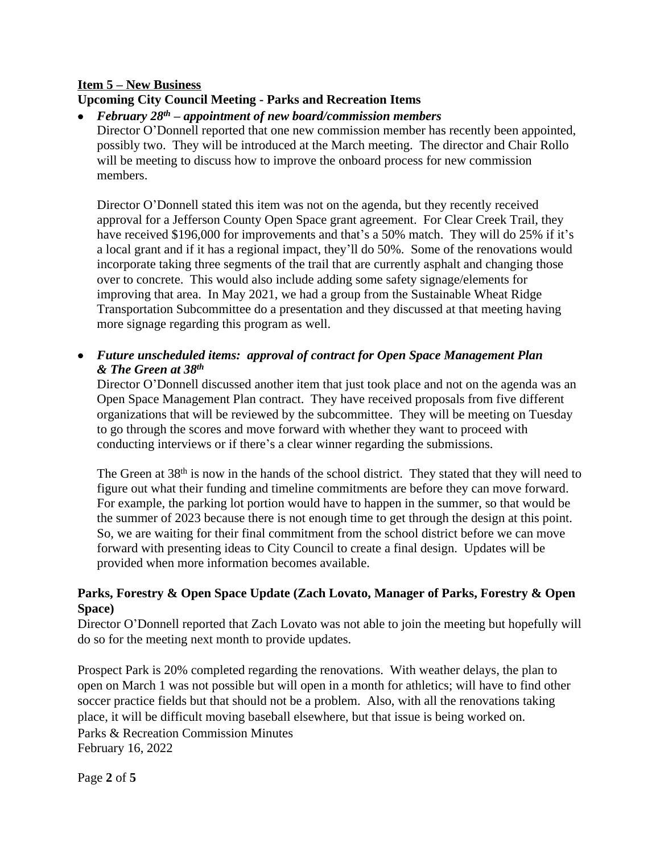#### **Item 5 – New Business**

# **Upcoming City Council Meeting - Parks and Recreation Items**

#### *February 28th – appointment of new board/commission members*

Director O'Donnell reported that one new commission member has recently been appointed, possibly two. They will be introduced at the March meeting. The director and Chair Rollo will be meeting to discuss how to improve the onboard process for new commission members.

Director O'Donnell stated this item was not on the agenda, but they recently received approval for a Jefferson County Open Space grant agreement. For Clear Creek Trail, they have received \$196,000 for improvements and that's a 50% match. They will do 25% if it's a local grant and if it has a regional impact, they'll do 50%. Some of the renovations would incorporate taking three segments of the trail that are currently asphalt and changing those over to concrete. This would also include adding some safety signage/elements for improving that area. In May 2021, we had a group from the Sustainable Wheat Ridge Transportation Subcommittee do a presentation and they discussed at that meeting having more signage regarding this program as well.

 *Future unscheduled items: approval of contract for Open Space Management Plan & The Green at 38th*

Director O'Donnell discussed another item that just took place and not on the agenda was an Open Space Management Plan contract. They have received proposals from five different organizations that will be reviewed by the subcommittee. They will be meeting on Tuesday to go through the scores and move forward with whether they want to proceed with conducting interviews or if there's a clear winner regarding the submissions.

The Green at 38<sup>th</sup> is now in the hands of the school district. They stated that they will need to figure out what their funding and timeline commitments are before they can move forward. For example, the parking lot portion would have to happen in the summer, so that would be the summer of 2023 because there is not enough time to get through the design at this point. So, we are waiting for their final commitment from the school district before we can move forward with presenting ideas to City Council to create a final design. Updates will be provided when more information becomes available.

# **Parks, Forestry & Open Space Update (Zach Lovato, Manager of Parks, Forestry & Open Space)**

Director O'Donnell reported that Zach Lovato was not able to join the meeting but hopefully will do so for the meeting next month to provide updates.

Parks & Recreation Commission Minutes February 16, 2022 Prospect Park is 20% completed regarding the renovations. With weather delays, the plan to open on March 1 was not possible but will open in a month for athletics; will have to find other soccer practice fields but that should not be a problem. Also, with all the renovations taking place, it will be difficult moving baseball elsewhere, but that issue is being worked on.

Page **2** of **5**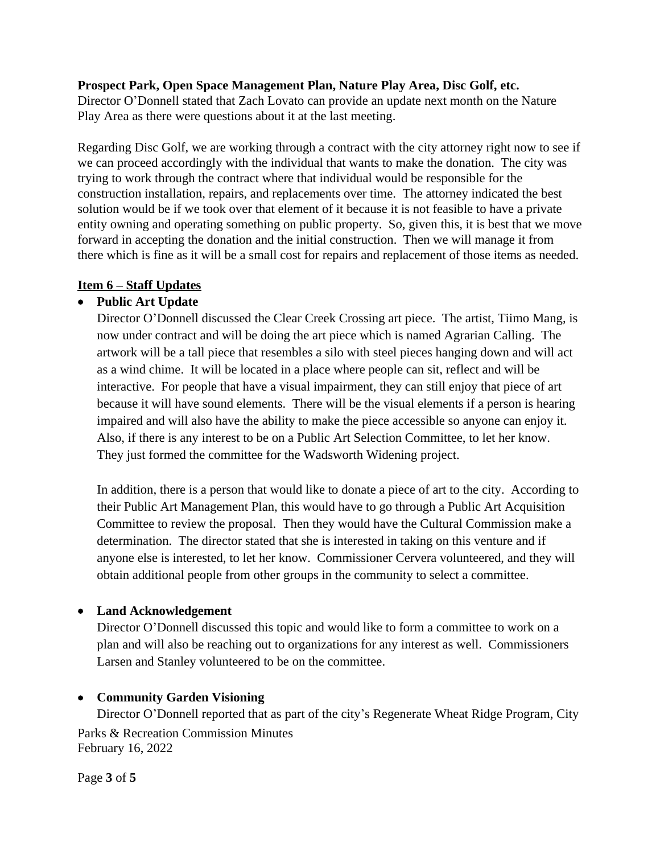#### **Prospect Park, Open Space Management Plan, Nature Play Area, Disc Golf, etc.**

Director O'Donnell stated that Zach Lovato can provide an update next month on the Nature Play Area as there were questions about it at the last meeting.

Regarding Disc Golf, we are working through a contract with the city attorney right now to see if we can proceed accordingly with the individual that wants to make the donation. The city was trying to work through the contract where that individual would be responsible for the construction installation, repairs, and replacements over time. The attorney indicated the best solution would be if we took over that element of it because it is not feasible to have a private entity owning and operating something on public property. So, given this, it is best that we move forward in accepting the donation and the initial construction. Then we will manage it from there which is fine as it will be a small cost for repairs and replacement of those items as needed.

# **Item 6 – Staff Updates**

# **Public Art Update**

Director O'Donnell discussed the Clear Creek Crossing art piece. The artist, Tiimo Mang, is now under contract and will be doing the art piece which is named Agrarian Calling. The artwork will be a tall piece that resembles a silo with steel pieces hanging down and will act as a wind chime. It will be located in a place where people can sit, reflect and will be interactive. For people that have a visual impairment, they can still enjoy that piece of art because it will have sound elements. There will be the visual elements if a person is hearing impaired and will also have the ability to make the piece accessible so anyone can enjoy it. Also, if there is any interest to be on a Public Art Selection Committee, to let her know. They just formed the committee for the Wadsworth Widening project.

In addition, there is a person that would like to donate a piece of art to the city. According to their Public Art Management Plan, this would have to go through a Public Art Acquisition Committee to review the proposal. Then they would have the Cultural Commission make a determination. The director stated that she is interested in taking on this venture and if anyone else is interested, to let her know. Commissioner Cervera volunteered, and they will obtain additional people from other groups in the community to select a committee.

# **Land Acknowledgement**

Director O'Donnell discussed this topic and would like to form a committee to work on a plan and will also be reaching out to organizations for any interest as well. Commissioners Larsen and Stanley volunteered to be on the committee.

# **Community Garden Visioning**

Parks & Recreation Commission Minutes February 16, 2022 Director O'Donnell reported that as part of the city's Regenerate Wheat Ridge Program, City

Page **3** of **5**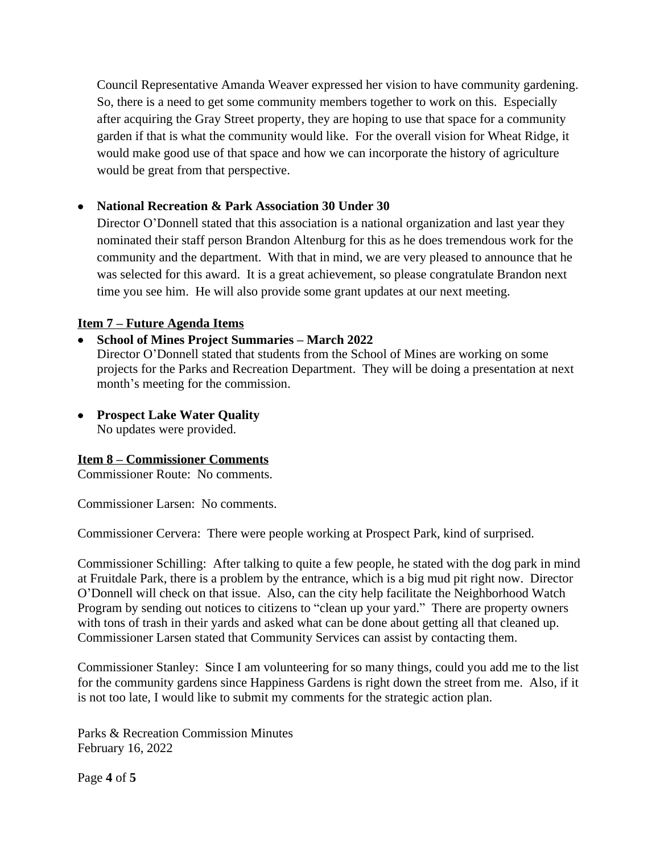Council Representative Amanda Weaver expressed her vision to have community gardening. So, there is a need to get some community members together to work on this. Especially after acquiring the Gray Street property, they are hoping to use that space for a community garden if that is what the community would like. For the overall vision for Wheat Ridge, it would make good use of that space and how we can incorporate the history of agriculture would be great from that perspective.

# **National Recreation & Park Association 30 Under 30**

Director O'Donnell stated that this association is a national organization and last year they nominated their staff person Brandon Altenburg for this as he does tremendous work for the community and the department. With that in mind, we are very pleased to announce that he was selected for this award. It is a great achievement, so please congratulate Brandon next time you see him. He will also provide some grant updates at our next meeting.

#### **Item 7 – Future Agenda Items**

# **School of Mines Project Summaries – March 2022**

Director O'Donnell stated that students from the School of Mines are working on some projects for the Parks and Recreation Department. They will be doing a presentation at next month's meeting for the commission.

 **Prospect Lake Water Quality** No updates were provided.

# **Item 8 – Commissioner Comments**

Commissioner Route: No comments.

Commissioner Larsen: No comments.

Commissioner Cervera: There were people working at Prospect Park, kind of surprised.

Commissioner Schilling: After talking to quite a few people, he stated with the dog park in mind at Fruitdale Park, there is a problem by the entrance, which is a big mud pit right now. Director O'Donnell will check on that issue. Also, can the city help facilitate the Neighborhood Watch Program by sending out notices to citizens to "clean up your yard." There are property owners with tons of trash in their yards and asked what can be done about getting all that cleaned up. Commissioner Larsen stated that Community Services can assist by contacting them.

Commissioner Stanley: Since I am volunteering for so many things, could you add me to the list for the community gardens since Happiness Gardens is right down the street from me. Also, if it is not too late, I would like to submit my comments for the strategic action plan.

Parks & Recreation Commission Minutes February 16, 2022

Page **4** of **5**